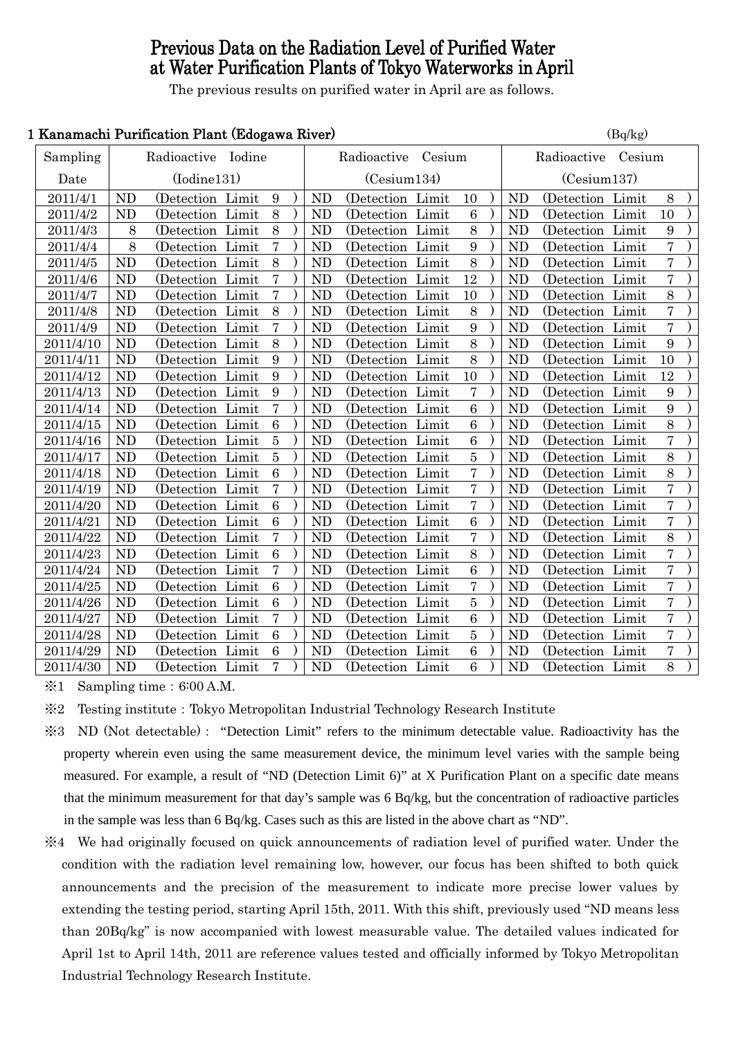# Previous Data on the Radiation Level of Purified Water at Water Purification Plants of Tokyo Waterworks in April

The previous results on purified water in April are as follows.

# 1 Kanamachi Purification Plant (Edogawa River) (Bq/kg)

| Isanamachi I urintación i iant (Buogawa River)<br>$(\mathbf{D}\mathbf{y})$ |                    |                   |       |                  |             |                       |                   |             |                  |                    |                |                   |  |                |  |
|----------------------------------------------------------------------------|--------------------|-------------------|-------|------------------|-------------|-----------------------|-------------------|-------------|------------------|--------------------|----------------|-------------------|--|----------------|--|
| Sampling                                                                   | Radioactive Iodine |                   |       |                  |             | Radioactive<br>Cesium |                   |             |                  | Radioactive Cesium |                |                   |  |                |  |
| Date                                                                       | (Iodine131)        |                   |       |                  | (Cesium134) |                       |                   | (Cesium137) |                  |                    |                |                   |  |                |  |
| 2011/4/1                                                                   | <b>ND</b>          | (Detection Limit) |       | 9                |             | <b>ND</b>             | (Detection Limit) |             | 10               |                    | <b>ND</b>      | (Detection Limit) |  | $8\,$          |  |
| 2011/4/2                                                                   | <b>ND</b>          | (Detection Limit  |       | 8                |             | <b>ND</b>             | (Detection Limit) |             | $6\phantom{1}6$  |                    | <b>ND</b>      | (Detection Limit) |  | 10             |  |
| 2011/4/3                                                                   | 8                  | (Detection Limit  |       | 8                |             | <b>ND</b>             | (Detection Limit  |             | 8                |                    | N <sub>D</sub> | (Detection Limit  |  | 9              |  |
| 2011/4/4                                                                   | 8                  | (Detection Limit  |       | $\overline{7}$   |             | <b>ND</b>             | (Detection Limit) |             | 9                |                    | <b>ND</b>      | (Detection Limit  |  | $\overline{7}$ |  |
| 2011/4/5                                                                   | <b>ND</b>          | (Detection Limit  |       | 8                |             | <b>ND</b>             | (Detection Limit  |             | 8                |                    | <b>ND</b>      | (Detection Limit  |  | $\overline{7}$ |  |
| 2011/4/6                                                                   | <b>ND</b>          | (Detection Limit  |       | $\overline{7}$   |             | N <sub>D</sub>        | (Detection Limit  |             | 12               |                    | <b>ND</b>      | (Detection Limit) |  | $\overline{7}$ |  |
| 2011/4/7                                                                   | <b>ND</b>          | (Detection Limit  |       | $\overline{7}$   |             | <b>ND</b>             | (Detection Limit  |             | 10               |                    | N <sub>D</sub> | (Detection Limit  |  | 8              |  |
| 2011/4/8                                                                   | <b>ND</b>          | (Detection Limit  |       | 8                |             | N <sub>D</sub>        | (Detection Limit) |             | 8                |                    | <b>ND</b>      | (Detection Limit  |  | $\overline{7}$ |  |
| 2011/4/9                                                                   | <b>ND</b>          | (Detection Limit) |       | $\overline{7}$   |             | <b>ND</b>             | (Detection Limit) |             | 9                |                    | <b>ND</b>      | (Detection Limit) |  | $\overline{7}$ |  |
| 2011/4/10                                                                  | <b>ND</b>          | (Detection Limit  |       | 8                |             | <b>ND</b>             | (Detection Limit  |             | 8                |                    | N <sub>D</sub> | (Detection Limit  |  | 9              |  |
| 2011/4/11                                                                  | <b>ND</b>          | (Detection Limit  |       | 9                |             | <b>ND</b>             | (Detection Limit  |             | 8                |                    | N <sub>D</sub> | (Detection Limit  |  | 10             |  |
| 2011/4/12                                                                  | <b>ND</b>          | (Detection Limit  |       | 9                |             | <b>ND</b>             | (Detection Limit  |             | 10               |                    | <b>ND</b>      | (Detection Limit  |  | $12\,$         |  |
| 2011/4/13                                                                  | <b>ND</b>          | (Detection Limit  |       | 9                |             | <b>ND</b>             | (Detection Limit  |             | 7                |                    | N <sub>D</sub> | (Detection Limit  |  | 9              |  |
| 2011/4/14                                                                  | <b>ND</b>          | (Detection Limit  |       | $\overline{7}$   |             | <b>ND</b>             | (Detection Limit  |             | $\overline{6}$   |                    | N <sub>D</sub> | (Detection Limit  |  | 9              |  |
| 2011/4/15                                                                  | <b>ND</b>          | (Detection Limit  |       | 6                |             | N <sub>D</sub>        | (Detection Limit  |             | 6                |                    | N <sub>D</sub> | (Detection Limit  |  | 8              |  |
| 2011/4/16                                                                  | <b>ND</b>          | (Detection Limit  |       | $\overline{5}$   |             | <b>ND</b>             | (Detection Limit  |             | 6                |                    | N <sub>D</sub> | (Detection Limit  |  | $\overline{7}$ |  |
| 2011/4/17                                                                  | <b>ND</b>          | (Detection Limit  |       | $\bf 5$          |             | <b>ND</b>             | (Detection Limit  |             | $\bf 5$          |                    | N <sub>D</sub> | (Detection Limit  |  | 8              |  |
| 2011/4/18                                                                  | <b>ND</b>          | (Detection Limit  |       | 6                |             | <b>ND</b>             | (Detection Limit  |             | $\overline{7}$   |                    | N <sub>D</sub> | (Detection Limit  |  | 8              |  |
| 2011/4/19                                                                  | <b>ND</b>          | (Detection Limit  |       | $\overline{7}$   |             | <b>ND</b>             | (Detection Limit  |             | $\overline{7}$   |                    | <b>ND</b>      | (Detection Limit  |  | $\overline{7}$ |  |
| 2011/4/20                                                                  | <b>ND</b>          | (Detection Limit  |       | 6                |             | <b>ND</b>             | (Detection Limit  |             | $\overline{7}$   |                    | <b>ND</b>      | (Detection Limit  |  | $\overline{7}$ |  |
| 2011/4/21                                                                  | <b>ND</b>          | (Detection Limit) |       | $\boldsymbol{6}$ |             | <b>ND</b>             | (Detection Limit) |             | $\boldsymbol{6}$ |                    | <b>ND</b>      | (Detection Limit  |  | $\overline{7}$ |  |
| 2011/4/22                                                                  | <b>ND</b>          | (Detection Limit  |       | $\overline{7}$   |             | <b>ND</b>             | (Detection Limit  |             | $\overline{7}$   |                    | <b>ND</b>      | (Detection Limit  |  | 8              |  |
| 2011/4/23                                                                  | <b>ND</b>          | (Detection Limit  |       | 6                |             | <b>ND</b>             | (Detection Limit  |             | 8                |                    | <b>ND</b>      | (Detection Limit  |  | $\overline{7}$ |  |
| 2011/4/24                                                                  | <b>ND</b>          | (Detection Limit  |       | 7                |             | <b>ND</b>             | (Detection Limit  |             | 6                |                    | <b>ND</b>      | (Detection Limit  |  | $\overline{7}$ |  |
| 2011/4/25                                                                  | <b>ND</b>          | (Detection Limit) |       | $6\phantom{1}6$  |             | <b>ND</b>             | (Detection)       | Limit       | $\overline{7}$   |                    | <b>ND</b>      | (Detection Limit  |  | $\overline{7}$ |  |
| 2011/4/26                                                                  | <b>ND</b>          | (Detection Limit  |       | 6                |             | <b>ND</b>             | (Detection Limit  |             | $\overline{5}$   |                    | <b>ND</b>      | (Detection Limit) |  | $\overline{7}$ |  |
| 2011/4/27                                                                  | <b>ND</b>          | (Detection Limit  |       | $\overline{7}$   |             | <b>ND</b>             | (Detection Limit) |             | $\overline{6}$   |                    | <b>ND</b>      | (Detection Limit) |  | $\overline{7}$ |  |
| 2011/4/28                                                                  | <b>ND</b>          | (Detection        | Limit | $\overline{6}$   |             | <b>ND</b>             | (Detection Limit  |             | $\overline{5}$   |                    | N <sub>D</sub> | (Detection Limit  |  | $\overline{7}$ |  |
| 2011/4/29                                                                  | <b>ND</b>          | (Detection Limit) |       | $\,6\,$          |             | <b>ND</b>             | (Detection Limit) |             | $\boldsymbol{6}$ |                    | N <sub>D</sub> | (Detection Limit) |  | $\overline{7}$ |  |
| 2011/4/30                                                                  | <b>ND</b>          | (Detection Limit  |       | $\overline{7}$   |             | <b>ND</b>             | (Detection Limit  |             | 6                |                    | N <sub>D</sub> | (Detection Limit  |  | $\overline{8}$ |  |

 $\div 1$  Sampling time: 6:00 A.M.

※2 Testing institute:Tokyo Metropolitan Industrial Technology Research Institute

- ※3 ND (Not detectable): "Detection Limit" refers to the minimum detectable value. Radioactivity has the property wherein even using the same measurement device, the minimum level varies with the sample being measured. For example, a result of "ND (Detection Limit 6)" at X Purification Plant on a specific date means that the minimum measurement for that day's sample was 6 Bq/kg, but the concentration of radioactive particles in the sample was less than 6 Bq/kg. Cases such as this are listed in the above chart as "ND".
- ※4 We had originally focused on quick announcements of radiation level of purified water. Under the condition with the radiation level remaining low, however, our focus has been shifted to both quick announcements and the precision of the measurement to indicate more precise lower values by extending the testing period, starting April 15th, 2011. With this shift, previously used "ND means less than 20Bq/kg" is now accompanied with lowest measurable value. The detailed values indicated for April 1st to April 14th, 2011 are reference values tested and officially informed by Tokyo Metropolitan Industrial Technology Research Institute.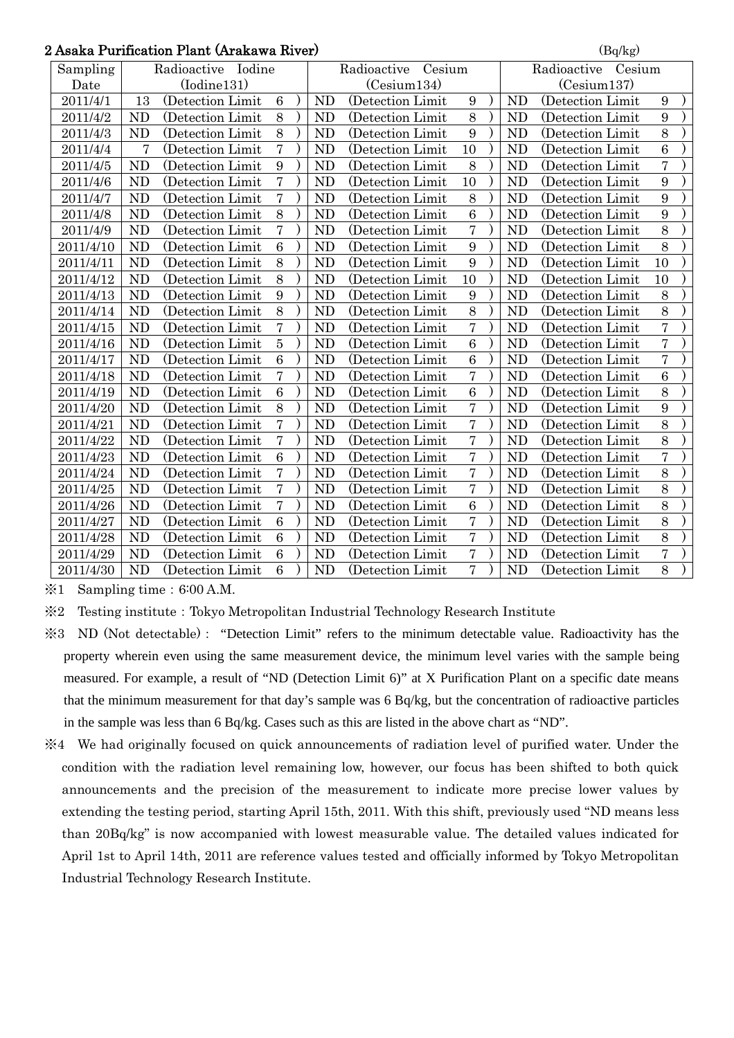|                                | 2 Asaka Purification Plant (Arakawa River)<br>(Bq/kg) |                |                   |                 |             |                |                       |                |             |                |                       |                |  |
|--------------------------------|-------------------------------------------------------|----------------|-------------------|-----------------|-------------|----------------|-----------------------|----------------|-------------|----------------|-----------------------|----------------|--|
| Radioactive Iodine<br>Sampling |                                                       |                |                   |                 |             |                | Radioactive<br>Cesium |                |             |                | Radioactive<br>Cesium |                |  |
|                                | Date                                                  | (Iodine131)    |                   |                 | (Cesium134) |                |                       |                | (Cesium137) |                |                       |                |  |
|                                | 2011/4/1                                              | 13             | (Detection Limit  | $6\phantom{1}6$ |             | <b>ND</b>      | (Detection Limit      | 9              |             | N <sub>D</sub> | (Detection Limit      | 9              |  |
|                                | 2011/4/2                                              | <b>ND</b>      | (Detection Limit) | 8               |             | N <sub>D</sub> | (Detection Limit)     | 8              |             | <b>ND</b>      | (Detection Limit      | 9              |  |
|                                | 2011/4/3                                              | <b>ND</b>      | (Detection Limit  | 8               |             | <b>ND</b>      | (Detection Limit      | 9              |             | <b>ND</b>      | (Detection Limit      | 8              |  |
|                                | 2011/4/4                                              | 7              | (Detection Limit) | $\overline{7}$  |             | <b>ND</b>      | (Detection Limit)     | 10             |             | <b>ND</b>      | (Detection Limit)     | 6              |  |
|                                | 2011/4/5                                              | <b>ND</b>      | (Detection Limit  | 9               |             | ND             | (Detection Limit      | 8              |             | <b>ND</b>      | (Detection Limit      | $\overline{7}$ |  |
|                                | 2011/4/6                                              | <b>ND</b>      | (Detection Limit) | $\overline{7}$  |             | <b>ND</b>      | (Detection Limit)     | 10             |             | <b>ND</b>      | (Detection Limit)     | $9\phantom{.}$ |  |
|                                | 2011/4/7                                              | <b>ND</b>      | (Detection Limit  | $\overline{7}$  |             | <b>ND</b>      | (Detection Limit      | 8              |             | <b>ND</b>      | (Detection Limit      | 9              |  |
|                                | 2011/4/8                                              | <b>ND</b>      | (Detection Limit) | 8               |             | <b>ND</b>      | (Detection Limit      | $\overline{6}$ |             | <b>ND</b>      | (Detection Limit)     | 9              |  |
|                                | 2011/4/9                                              | N <sub>D</sub> | (Detection Limit  | 7               |             | <b>ND</b>      | (Detection Limit)     | $\overline{7}$ |             | <b>ND</b>      | (Detection Limit)     | $8\,$          |  |
|                                | 2011/4/10                                             | <b>ND</b>      | (Detection Limit  | $6\phantom{1}6$ |             | <b>ND</b>      | (Detection Limit      | 9              |             | <b>ND</b>      | (Detection Limit      | $8\,$          |  |
|                                | 2011/4/11                                             | <b>ND</b>      | (Detection Limit  | 8               |             | <b>ND</b>      | (Detection Limit      | 9              |             | <b>ND</b>      | (Detection Limit)     | 10             |  |
|                                | 2011/4/12                                             | <b>ND</b>      | (Detection Limit) | 8               |             | <b>ND</b>      | (Detection Limit)     | 10             |             | ND             | (Detection Limit)     | 10             |  |
|                                | 2011/4/13                                             | <b>ND</b>      | (Detection Limit  | 9               |             | <b>ND</b>      | (Detection Limit      | 9              |             | <b>ND</b>      | (Detection Limit      | $8\,$          |  |
|                                | 2011/4/14                                             | <b>ND</b>      | (Detection Limit  | 8               |             | <b>ND</b>      | (Detection Limit      | 8              |             | <b>ND</b>      | (Detection Limit      | 8              |  |
|                                | 2011/4/15                                             | <b>ND</b>      | (Detection Limit  | $\overline{7}$  |             | <b>ND</b>      | (Detection Limit      | $\overline{7}$ |             | <b>ND</b>      | (Detection Limit)     | $\overline{7}$ |  |
|                                | 2011/4/16                                             | <b>ND</b>      | (Detection Limit  | $\overline{5}$  |             | <b>ND</b>      | (Detection Limit      | $\overline{6}$ |             | ND             | (Detection Limit)     | 7              |  |
|                                | 2011/4/17                                             | <b>ND</b>      | (Detection Limit) | $\overline{6}$  |             | <b>ND</b>      | (Detection Limit)     | $\overline{6}$ |             | <b>ND</b>      | (Detection Limit)     | $\overline{7}$ |  |
|                                | 2011/4/18                                             | <b>ND</b>      | (Detection Limit  | $\overline{7}$  |             | <b>ND</b>      | (Detection Limit      | $\overline{7}$ |             | <b>ND</b>      | (Detection Limit      | 6              |  |
|                                | 2011/4/19                                             | <b>ND</b>      | (Detection Limit) | 6               |             | <b>ND</b>      | (Detection Limit      | $\overline{6}$ |             | <b>ND</b>      | (Detection Limit)     | 8              |  |
|                                | 2011/4/20                                             | <b>ND</b>      | (Detection Limit  | 8               |             | <b>ND</b>      | (Detection Limit      | $\overline{7}$ |             | <b>ND</b>      | (Detection Limit      | 9              |  |
|                                | 2011/4/21                                             | <b>ND</b>      | (Detection Limit  | $\overline{7}$  |             | <b>ND</b>      | (Detection Limit      | $\overline{7}$ |             | <b>ND</b>      | (Detection Limit)     | 8              |  |
|                                | 2011/4/22                                             | <b>ND</b>      | (Detection Limit  | $\overline{7}$  |             | <b>ND</b>      | (Detection Limit      | $\overline{7}$ |             | <b>ND</b>      | (Detection Limit)     | 8              |  |
|                                | 2011/4/23                                             | <b>ND</b>      | (Detection Limit  | 6               |             | <b>ND</b>      | (Detection Limit      | $\overline{7}$ |             | <b>ND</b>      | (Detection Limit)     | $\overline{7}$ |  |
|                                | 2011/4/24                                             | <b>ND</b>      | (Detection Limit) | $\overline{7}$  |             | <b>ND</b>      | (Detection Limit)     | $\overline{7}$ |             | <b>ND</b>      | (Detection Limit)     | 8              |  |
|                                | 2011/4/25                                             | <b>ND</b>      | (Detection Limit) | $\overline{7}$  |             | <b>ND</b>      | (Detection Limit)     | $\overline{7}$ |             | ND             | (Detection Limit)     | 8              |  |
|                                | 2011/4/26                                             | <b>ND</b>      | (Detection Limit) | $\overline{7}$  |             | <b>ND</b>      | (Detection Limit)     | $\overline{6}$ |             | <b>ND</b>      | (Detection Limit)     | 8              |  |
|                                | 2011/4/27                                             | N <sub>D</sub> | (Detection Limit  | 6               |             | <b>ND</b>      | (Detection Limit)     | $\overline{7}$ |             | <b>ND</b>      | (Detection Limit)     | 8              |  |
|                                | 2011/4/28                                             | <b>ND</b>      | (Detection Limit) | 6               |             | <b>ND</b>      | (Detection Limit)     | $\overline{7}$ |             | <b>ND</b>      | (Detection Limit)     | 8              |  |
|                                | 2011/4/29                                             | <b>ND</b>      | (Detection Limit  | $\overline{6}$  |             | <b>ND</b>      | (Detection Limit      | $\overline{7}$ |             | <b>ND</b>      | (Detection Limit      | $\overline{7}$ |  |
|                                | 2011/4/30                                             | <b>ND</b>      | (Detection Limit) | 6               |             | <b>ND</b>      | (Detection Limit)     | $\overline{7}$ |             | <b>ND</b>      | (Detection Limit      | 8              |  |

 $\text{\%}1$  Sampling time: 6:00 A.M.

※2 Testing institute:Tokyo Metropolitan Industrial Technology Research Institute

- ※3 ND (Not detectable): "Detection Limit" refers to the minimum detectable value. Radioactivity has the property wherein even using the same measurement device, the minimum level varies with the sample being measured. For example, a result of "ND (Detection Limit 6)" at X Purification Plant on a specific date means that the minimum measurement for that day's sample was 6 Bq/kg, but the concentration of radioactive particles in the sample was less than 6 Bq/kg. Cases such as this are listed in the above chart as "ND".
- ※4 We had originally focused on quick announcements of radiation level of purified water. Under the condition with the radiation level remaining low, however, our focus has been shifted to both quick announcements and the precision of the measurement to indicate more precise lower values by extending the testing period, starting April 15th, 2011. With this shift, previously used "ND means less than 20Bq/kg" is now accompanied with lowest measurable value. The detailed values indicated for April 1st to April 14th, 2011 are reference values tested and officially informed by Tokyo Metropolitan Industrial Technology Research Institute.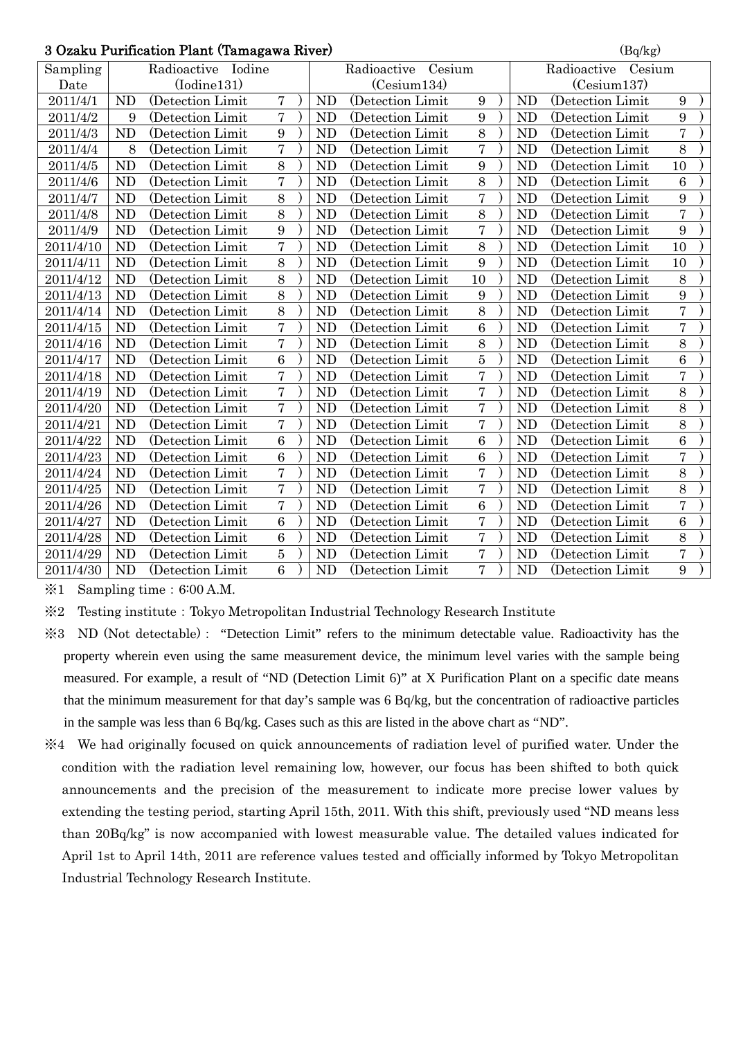### $3$  Ozaku Purification Plant (Tamagawa River) (Bq/kg)

|           | o Ozaku I urmication I iamt (Tamagawa Itiver)<br>$(\mathbf{D}\mathbf{y}\mathbf{n}\mathbf{g})$ |                    |                 |                       |                |                   |                 |  |                       |                   |                 |  |  |  |
|-----------|-----------------------------------------------------------------------------------------------|--------------------|-----------------|-----------------------|----------------|-------------------|-----------------|--|-----------------------|-------------------|-----------------|--|--|--|
| Sampling  |                                                                                               | Radioactive Iodine |                 | Cesium<br>Radioactive |                |                   |                 |  | Radioactive<br>Cesium |                   |                 |  |  |  |
| Date      | (Iodine131)                                                                                   |                    |                 |                       | (Cesium134)    |                   |                 |  | (Cesium137)           |                   |                 |  |  |  |
| 2011/4/1  | <b>ND</b>                                                                                     | (Detection Limit   | $\overline{7}$  |                       | <b>ND</b>      | (Detection Limit  | 9               |  | <b>ND</b>             | (Detection Limit  | $9\phantom{.0}$ |  |  |  |
| 2011/4/2  | 9                                                                                             | (Detection Limit)  | $\overline{7}$  |                       | <b>ND</b>      | (Detection Limit  | 9               |  | <b>ND</b>             | (Detection Limit  | 9               |  |  |  |
| 2011/4/3  | <b>ND</b>                                                                                     | (Detection Limit   | 9               |                       | <b>ND</b>      | (Detection Limit  | 8               |  | <b>ND</b>             | (Detection Limit  | $\overline{7}$  |  |  |  |
| 2011/4/4  | 8                                                                                             | (Detection Limit   | $\overline{7}$  |                       | <b>ND</b>      | (Detection Limit) | $\overline{7}$  |  | <b>ND</b>             | (Detection Limit) | 8               |  |  |  |
| 2011/4/5  | <b>ND</b>                                                                                     | (Detection Limit   | $\overline{8}$  |                       | <b>ND</b>      | (Detection Limit  | 9               |  | <b>ND</b>             | (Detection Limit  | 10              |  |  |  |
| 2011/4/6  | <b>ND</b>                                                                                     | (Detection Limit)  | $\overline{7}$  |                       | <b>ND</b>      | (Detection Limit  | 8               |  | <b>ND</b>             | (Detection Limit  | $6\phantom{1}6$ |  |  |  |
| 2011/4/7  | <b>ND</b>                                                                                     | (Detection Limit   | 8               |                       | <b>ND</b>      | (Detection Limit  | $\overline{7}$  |  | <b>ND</b>             | (Detection Limit) | 9               |  |  |  |
| 2011/4/8  | N <sub>D</sub>                                                                                | (Detection Limit)  | 8               |                       | N <sub>D</sub> | (Detection Limit) | 8               |  | N <sub>D</sub>        | (Detection Limit) | $\overline{7}$  |  |  |  |
| 2011/4/9  | <b>ND</b>                                                                                     | (Detection Limit   | 9               |                       | <b>ND</b>      | (Detection Limit  | $\overline{7}$  |  | <b>ND</b>             | (Detection Limit) | 9               |  |  |  |
| 2011/4/10 | <b>ND</b>                                                                                     | (Detection Limit)  | $\overline{7}$  |                       | <b>ND</b>      | (Detection Limit  | 8               |  | <b>ND</b>             | (Detection Limit) | 10              |  |  |  |
| 2011/4/11 | <b>ND</b>                                                                                     | (Detection Limit)  | $\overline{8}$  |                       | <b>ND</b>      | (Detection Limit) | 9               |  | <b>ND</b>             | (Detection Limit  | 10              |  |  |  |
| 2011/4/12 | <b>ND</b>                                                                                     | (Detection Limit)  | 8               |                       | <b>ND</b>      | (Detection Limit) | 10              |  | N <sub>D</sub>        | (Detection Limit  | 8               |  |  |  |
| 2011/4/13 | <b>ND</b>                                                                                     | (Detection Limit   | $\overline{8}$  |                       | <b>ND</b>      | (Detection Limit  | 9               |  | <b>ND</b>             | (Detection Limit  | 9               |  |  |  |
| 2011/4/14 | <b>ND</b>                                                                                     | (Detection Limit)  | $\overline{8}$  |                       | N <sub>D</sub> | (Detection Limit) | 8               |  | <b>ND</b>             | (Detection Limit  | $\overline{7}$  |  |  |  |
| 2011/4/15 | <b>ND</b>                                                                                     | (Detection Limit   | $\overline{7}$  |                       | <b>ND</b>      | (Detection Limit  | $\overline{6}$  |  | <b>ND</b>             | (Detection Limit  | $\overline{7}$  |  |  |  |
| 2011/4/16 | <b>ND</b>                                                                                     | (Detection Limit)  | $\overline{7}$  |                       | <b>ND</b>      | (Detection Limit  | 8               |  | <b>ND</b>             | (Detection Limit  | 8               |  |  |  |
| 2011/4/17 | <b>ND</b>                                                                                     | (Detection Limit   | 6               |                       | <b>ND</b>      | (Detection Limit) | $\overline{5}$  |  | <b>ND</b>             | (Detection Limit  | $6\phantom{a}$  |  |  |  |
| 2011/4/18 | <b>ND</b>                                                                                     | (Detection Limit   | $\overline{7}$  |                       | <b>ND</b>      | (Detection Limit  | $\overline{7}$  |  | <b>ND</b>             | (Detection Limit  | $\overline{7}$  |  |  |  |
| 2011/4/19 | <b>ND</b>                                                                                     | (Detection Limit   | $\overline{7}$  |                       | <b>ND</b>      | (Detection Limit  | $\overline{7}$  |  | <b>ND</b>             | (Detection Limit  | 8               |  |  |  |
| 2011/4/20 | <b>ND</b>                                                                                     | (Detection Limit   | $\overline{7}$  |                       | <b>ND</b>      | (Detection Limit  | $\overline{7}$  |  | <b>ND</b>             | (Detection Limit  | 8               |  |  |  |
| 2011/4/21 | <b>ND</b>                                                                                     | (Detection Limit)  | $\overline{7}$  |                       | <b>ND</b>      | (Detection Limit  | $\overline{7}$  |  | <b>ND</b>             | (Detection Limit  | 8               |  |  |  |
| 2011/4/22 | <b>ND</b>                                                                                     | (Detection Limit   | $6\phantom{1}6$ |                       | <b>ND</b>      | (Detection Limit  | $6\phantom{1}6$ |  | <b>ND</b>             | (Detection Limit  | 6               |  |  |  |
| 2011/4/23 | <b>ND</b>                                                                                     | (Detection Limit)  | 6               |                       | <b>ND</b>      | (Detection Limit  | 6               |  | <b>ND</b>             | (Detection Limit  | $\overline{7}$  |  |  |  |
| 2011/4/24 | <b>ND</b>                                                                                     | (Detection Limit)  | $\overline{7}$  |                       | <b>ND</b>      | (Detection Limit  | 7               |  | <b>ND</b>             | (Detection Limit) | 8               |  |  |  |
| 2011/4/25 | <b>ND</b>                                                                                     | (Detection Limit)  | $\sqrt{ }$      |                       | <b>ND</b>      | (Detection Limit) | $\overline{7}$  |  | N <sub>D</sub>        | (Detection Limit) | 8               |  |  |  |
| 2011/4/26 | <b>ND</b>                                                                                     | (Detection Limit   | $\overline{7}$  |                       | <b>ND</b>      | (Detection Limit  | $\overline{6}$  |  | <b>ND</b>             | (Detection Limit  | $\overline{7}$  |  |  |  |
| 2011/4/27 | <b>ND</b>                                                                                     | (Detection Limit)  | $\overline{6}$  |                       | <b>ND</b>      | (Detection Limit) | $\overline{7}$  |  | <b>ND</b>             | (Detection Limit) | $6\phantom{a}$  |  |  |  |
| 2011/4/28 | <b>ND</b>                                                                                     | (Detection Limit)  | $6\phantom{.}6$ |                       | <b>ND</b>      | (Detection Limit) | $\overline{7}$  |  | <b>ND</b>             | (Detection Limit  | $8\,$           |  |  |  |
| 2011/4/29 | <b>ND</b>                                                                                     | (Detection Limit   | $\overline{5}$  |                       | <b>ND</b>      | (Detection Limit  | $\overline{7}$  |  | <b>ND</b>             | (Detection Limit) | $\overline{7}$  |  |  |  |
| 2011/4/30 | <b>ND</b>                                                                                     | (Detection Limit   | $\overline{6}$  |                       | ND             | (Detection Limit) | $\overline{7}$  |  | <b>ND</b>             | (Detection Limit) | 9               |  |  |  |

 $\text{\%}1$  Sampling time: 6:00 A.M.

※2 Testing institute:Tokyo Metropolitan Industrial Technology Research Institute

- ※3 ND (Not detectable): "Detection Limit" refers to the minimum detectable value. Radioactivity has the property wherein even using the same measurement device, the minimum level varies with the sample being measured. For example, a result of "ND (Detection Limit 6)" at X Purification Plant on a specific date means that the minimum measurement for that day's sample was 6 Bq/kg, but the concentration of radioactive particles in the sample was less than 6 Bq/kg. Cases such as this are listed in the above chart as "ND".
- ※4 We had originally focused on quick announcements of radiation level of purified water. Under the condition with the radiation level remaining low, however, our focus has been shifted to both quick announcements and the precision of the measurement to indicate more precise lower values by extending the testing period, starting April 15th, 2011. With this shift, previously used "ND means less than 20Bq/kg" is now accompanied with lowest measurable value. The detailed values indicated for April 1st to April 14th, 2011 are reference values tested and officially informed by Tokyo Metropolitan Industrial Technology Research Institute.